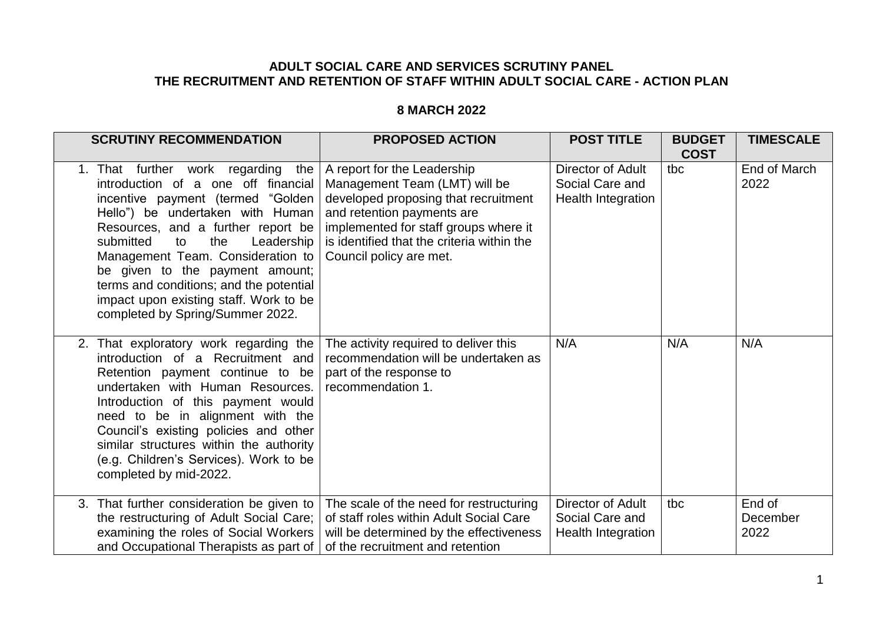## **ADULT SOCIAL CARE AND SERVICES SCRUTINY PANEL THE RECRUITMENT AND RETENTION OF STAFF WITHIN ADULT SOCIAL CARE - ACTION PLAN**

## **8 MARCH 2022**

| <b>SCRUTINY RECOMMENDATION</b>                                                                                                                                                                                                                                                                                                                                                                                                       | <b>PROPOSED ACTION</b>                                                                                                                                                                                                                               | <b>POST TITLE</b>                                                 | <b>BUDGET</b><br><b>COST</b> | <b>TIMESCALE</b>           |
|--------------------------------------------------------------------------------------------------------------------------------------------------------------------------------------------------------------------------------------------------------------------------------------------------------------------------------------------------------------------------------------------------------------------------------------|------------------------------------------------------------------------------------------------------------------------------------------------------------------------------------------------------------------------------------------------------|-------------------------------------------------------------------|------------------------------|----------------------------|
| 1. That further work regarding<br>the<br>introduction of a one off financial<br>incentive payment (termed "Golden<br>Hello") be undertaken with Human<br>Resources, and a further report be<br>submitted<br>to<br>the<br>Leadership<br>Management Team. Consideration to<br>be given to the payment amount;<br>terms and conditions; and the potential<br>impact upon existing staff. Work to be<br>completed by Spring/Summer 2022. | A report for the Leadership<br>Management Team (LMT) will be<br>developed proposing that recruitment<br>and retention payments are<br>implemented for staff groups where it<br>is identified that the criteria within the<br>Council policy are met. | <b>Director of Adult</b><br>Social Care and<br>Health Integration | tbc                          | End of March<br>2022       |
| 2. That exploratory work regarding the<br>introduction of a Recruitment and<br>Retention payment continue to be<br>undertaken with Human Resources.<br>Introduction of this payment would<br>need to be in alignment with the<br>Council's existing policies and other<br>similar structures within the authority<br>(e.g. Children's Services). Work to be<br>completed by mid-2022.                                                | The activity required to deliver this<br>recommendation will be undertaken as<br>part of the response to<br>recommendation 1.                                                                                                                        | N/A                                                               | N/A                          | N/A                        |
| 3. That further consideration be given to<br>the restructuring of Adult Social Care;<br>examining the roles of Social Workers<br>and Occupational Therapists as part of                                                                                                                                                                                                                                                              | The scale of the need for restructuring<br>of staff roles within Adult Social Care<br>will be determined by the effectiveness<br>of the recruitment and retention                                                                                    | Director of Adult<br>Social Care and<br><b>Health Integration</b> | tbc                          | End of<br>December<br>2022 |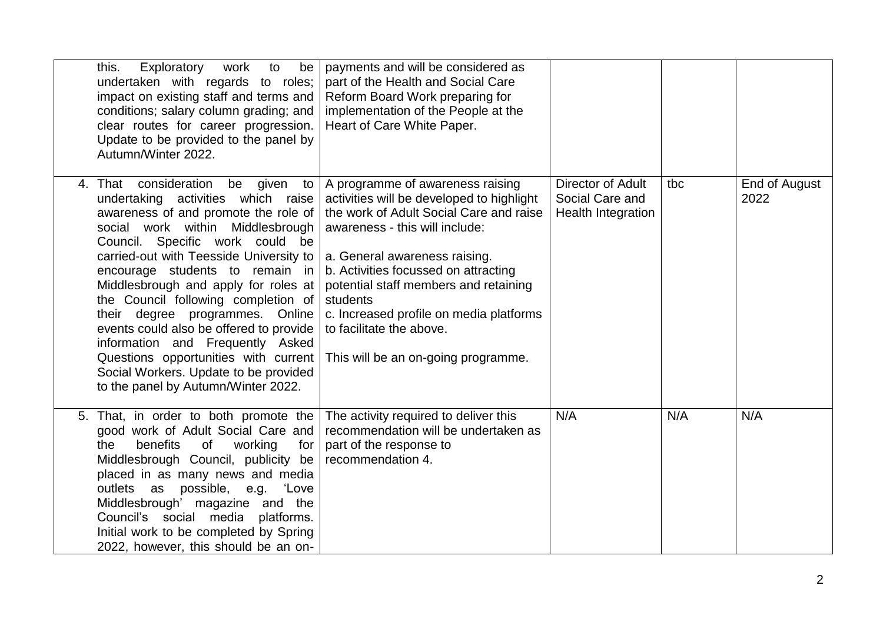| Exploratory<br>this.<br>work<br>to<br>be<br>undertaken with regards to roles;<br>impact on existing staff and terms and<br>conditions; salary column grading; and<br>clear routes for career progression.<br>Update to be provided to the panel by<br>Autumn/Winter 2022.                                                                                                                                                                                                                                                                                                                           | payments and will be considered as<br>part of the Health and Social Care<br>Reform Board Work preparing for<br>implementation of the People at the<br>Heart of Care White Paper.                                                                                                                                                                                                                       |                                                                   |     |                       |
|-----------------------------------------------------------------------------------------------------------------------------------------------------------------------------------------------------------------------------------------------------------------------------------------------------------------------------------------------------------------------------------------------------------------------------------------------------------------------------------------------------------------------------------------------------------------------------------------------------|--------------------------------------------------------------------------------------------------------------------------------------------------------------------------------------------------------------------------------------------------------------------------------------------------------------------------------------------------------------------------------------------------------|-------------------------------------------------------------------|-----|-----------------------|
| 4. That consideration<br>be given<br>to<br>undertaking activities which raise<br>awareness of and promote the role of<br>social work within Middlesbrough<br>Council. Specific work could be<br>carried-out with Teesside University to<br>encourage students to remain in<br>Middlesbrough and apply for roles at<br>the Council following completion of<br>their degree programmes. Online<br>events could also be offered to provide<br>information and Frequently Asked<br>Questions opportunities with current<br>Social Workers. Update to be provided<br>to the panel by Autumn/Winter 2022. | A programme of awareness raising<br>activities will be developed to highlight<br>the work of Adult Social Care and raise<br>awareness - this will include:<br>a. General awareness raising.<br>b. Activities focussed on attracting<br>potential staff members and retaining<br>students<br>c. Increased profile on media platforms<br>to facilitate the above.<br>This will be an on-going programme. | Director of Adult<br>Social Care and<br><b>Health Integration</b> | tbc | End of August<br>2022 |
| 5. That, in order to both promote the<br>good work of Adult Social Care and<br>benefits<br>working<br>the<br>of<br>for<br>Middlesbrough Council, publicity be<br>placed in as many news and media<br>outlets as possible, e.g. 'Love<br>Middlesbrough' magazine and the<br>Council's social media<br>platforms.<br>Initial work to be completed by Spring<br>2022, however, this should be an on-                                                                                                                                                                                                   | The activity required to deliver this<br>recommendation will be undertaken as<br>part of the response to<br>recommendation 4.                                                                                                                                                                                                                                                                          | N/A                                                               | N/A | N/A                   |